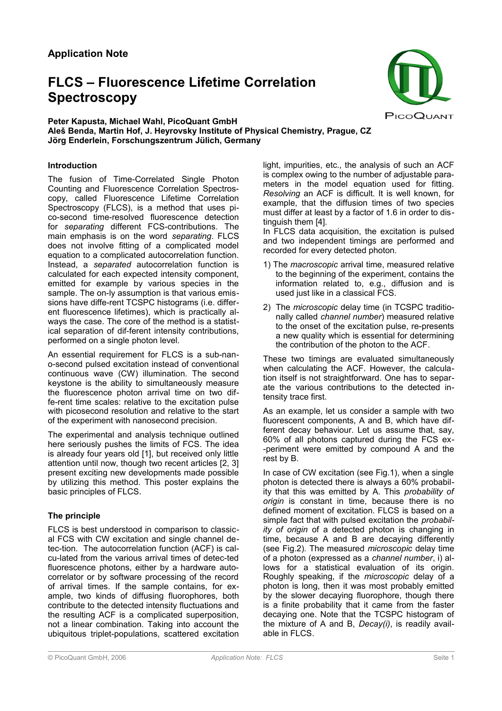# **FLCS – Fluorescence Lifetime Correlation Spectroscopy**



## **Peter Kapusta, Michael Wahl, PicoQuant GmbH Aleš Benda, Martin Hof, J. Heyrovsky Institute of Physical Chemistry, Prague, CZ Jörg Enderlein, Forschungszentrum Jülich, Germany**

## **Introduction**

The fusion of Time-Correlated Single Photon Counting and Fluorescence Correlation Spectroscopy, called Fluorescence Lifetime Correlation Spectroscopy (FLCS), is a method that uses pico-second time-resolved fluorescence detection for *separating* different FCS-contributions. The main emphasis is on the word *separating*. FLCS does not involve fitting of a complicated model equation to a complicated autocorrelation function. Instead, a *separated* autocorrelation function is calculated for each expected intensity component, emitted for example by various species in the sample. The on-ly assumption is that various emissions have diffe-rent TCSPC histograms (i.e. different fluorescence lifetimes), which is practically always the case. The core of the method is a statistical separation of dif-ferent intensity contributions, performed on a single photon level.

An essential requirement for FLCS is a sub-nano-second pulsed excitation instead of conventional continuous wave (CW) illumination. The second keystone is the ability to simultaneously measure the fluorescence photon arrival time on two diffe-rent time scales: relative to the excitation pulse with picosecond resolution and relative to the start of the experiment with nanosecond precision.

The experimental and analysis technique outlined here seriously pushes the limits of FCS. The idea is already four years old [1], but received only little attention until now, though two recent articles [2, 3] present exciting new developments made possible by utilizing this method. This poster explains the basic principles of FLCS.

## **The principle**

FLCS is best understood in comparison to classical FCS with CW excitation and single channel detec-tion. The autocorrelation function (ACF) is calcu-lated from the various arrival times of detec-ted fluorescence photons, either by a hardware autocorrelator or by software processing of the record of arrival times. If the sample contains, for example, two kinds of diffusing fluorophores, both contribute to the detected intensity fluctuations and the resulting ACF is a complicated superposition, not a linear combination. Taking into account the ubiquitous triplet-populations, scattered excitation light, impurities, etc., the analysis of such an ACF is complex owing to the number of adjustable parameters in the model equation used for fitting. *Resolving* an ACF is difficult. It is well known, for example, that the diffusion times of two species must differ at least by a factor of 1.6 in order to distinguish them [4].

In FLCS data acquisition, the excitation is pulsed and two independent timings are performed and recorded for every detected photon.

- 1) The *macroscopic* arrival time, measured relative to the beginning of the experiment, contains the information related to, e.g., diffusion and is used just like in a classical FCS.
- 2) The *microscopic* delay time (in TCSPC traditionally called *channel number*) measured relative to the onset of the excitation pulse, re-presents a new quality which is essential for determining the contribution of the photon to the ACF.

These two timings are evaluated simultaneously when calculating the ACF. However, the calculation itself is not straightforward. One has to separate the various contributions to the detected intensity trace first.

As an example, let us consider a sample with two fluorescent components, A and B, which have different decay behaviour. Let us assume that, say, 60% of all photons captured during the FCS ex- -periment were emitted by compound A and the rest by B.

In case of CW excitation (see Fig.1), when a single photon is detected there is always a 60% probability that this was emitted by A. This *probability of origin* is constant in time, because there is no defined moment of excitation. FLCS is based on a simple fact that with pulsed excitation the *probability of origin* of a detected photon is changing in time, because A and B are decaying differently (see Fig.2). The measured *microscopic* delay time of a photon (expressed as a *channel number*, i) allows for a statistical evaluation of its origin. Roughly speaking, if the *microscopic* delay of a photon is long, then it was most probably emitted by the slower decaying fluorophore, though there is a finite probability that it came from the faster decaying one. Note that the TCSPC histogram of the mixture of A and B, *Decay(i)*, is readily available in FLCS.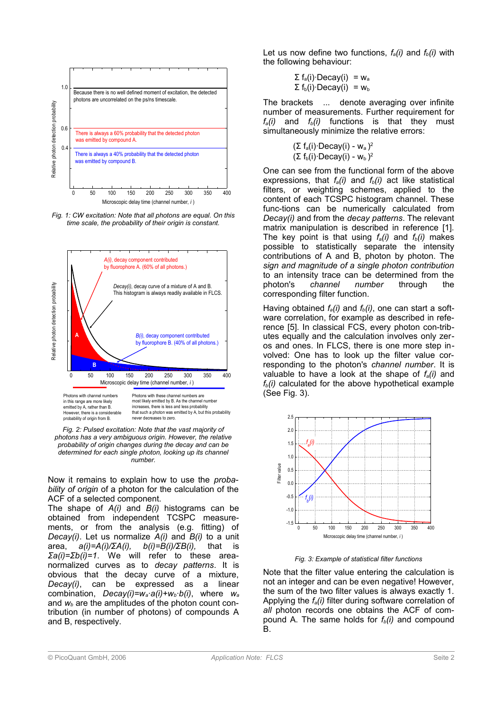

Fig. 1: CW excitation: Note that all photons are equal. On this time scale, the probability of their origin is constant.



Fig. 2: Pulsed excitation: Note that the vast majority of photons has a very ambiguous origin. However, the relative probability of origin changes during the decay and can be *determined for each single photon, looking up its channel number.*

Now it remains to explain how to use the *probability of origin* of a photon for the calculation of the ACF of a selected component.

The shape of *A(i)* and *B(i)* histograms can be obtained from independent TCSPC measurements, or from the analysis (e.g. fitting) of *Decay(i)*. Let us normalize *A(i)* and *B(i)* to a unit area, *a(i)=A(i)/ΣA(i), b(i)=B(i)/ΣB(i),* that is *Σa(i)=Σb(i)=1*. We will refer to these areanormalized curves as to *decay patterns*. It is obvious that the decay curve of a mixture, *Decay(i)*, can be expressed as a linear combination, *Decay(i)=wa·a(i)+wb·b(i)*, where *w<sup>a</sup>* and *wb* are the amplitudes of the photon count contribution (in number of photons) of compounds A and B, respectively.

Let us now define two functions,  $f_a(i)$  and  $f_b(i)$  with the following behaviour:

> $\langle \Sigma f_a(i) \cdot \text{Decay}(i) \rangle = w_a$  $\langle \Sigma f_b(i) \cdot \text{Decay}(i) \rangle = w_b$

The brackets  $\langle \dots \rangle$  denote averaging over infinite number of measurements. Further requirement for  $f_a(i)$  and  $f_b(i)$  functions is that they must simultaneously minimize the relative errors:

> $\langle (\Sigma f_a(i) \cdot \text{Decay}(i) - W_a)^2 \rangle$  $\langle (\Sigma f_b(i) \cdot$ Decay(i) - w<sub>b</sub> $)^2 \rangle$

One can see from the functional form of the above expressions, that  $f_a(i)$  and  $f_b(i)$  act like statistical filters, or weighting schemes, applied to the content of each TCSPC histogram channel. These func-tions can be numerically calculated from *Decay(i)* and from the *decay patterns*. The relevant matrix manipulation is described in reference [1]. The key point is that using  $f_a(i)$  and  $f_b(i)$  makes possible to statistically separate the intensity contributions of A and B, photon by photon. The *sign and magnitude of a single photon contribution* to an intensity trace can be determined from the photon's *channel number* through the corresponding filter function.

Having obtained  $f_a(i)$  and  $f_b(i)$ , one can start a software correlation, for example as described in reference [5]. In classical FCS, every photon con-tributes equally and the calculation involves only zeros and ones. In FLCS, there is one more step involved: One has to look up the filter value corresponding to the photon's *channel number*. It is valuable to have a look at the shape of *fa(i)* and  $f_b(i)$  calculated for the above hypothetical example (See Fig. 3).



*Fig. 3: Example of statistical filter functions*

Note that the filter value entering the calculation is not an integer and can be even negative! However, the sum of the two filter values is always exactly 1. Applying the *fa(i)* filter during software correlation of *all* photon records one obtains the ACF of compound A. The same holds for  $f_b(i)$  and compound B.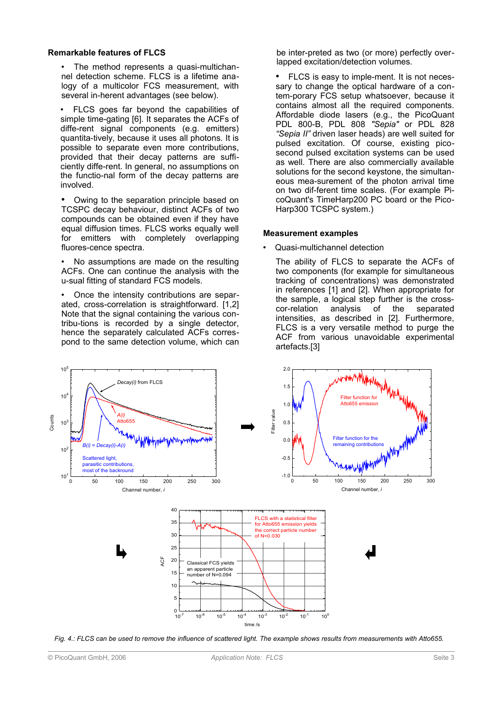### **Remarkable features of FLCS**

The method represents a quasi-multichannel detection scheme. FLCS is a lifetime analogy of a multicolor FCS measurement, with several in-herent advantages (see below).

• FLCS goes far beyond the capabilities of simple time-gating [6]. It separates the ACFs of diffe-rent signal components (e.g. emitters) quantita-tively, because it uses all photons. It is possible to separate even more contributions, provided that their decay patterns are sufficiently diffe-rent. In general, no assumptions on the functio-nal form of the decay patterns are involved.

• Owing to the separation principle based on TCSPC decay behaviour, distinct ACFs of two compounds can be obtained even if they have equal diffusion times. FLCS works equally well for emitters with completely overlapping fluores-cence spectra.

• No assumptions are made on the resulting ACFs. One can continue the analysis with the u-sual fitting of standard FCS models.

• Once the intensity contributions are separated, cross-correlation is straightforward. [1,2] Note that the signal containing the various contribu-tions is recorded by a single detector, hence the separately calculated ACFs correspond to the same detection volume, which can be inter-preted as two (or more) perfectly overlapped excitation/detection volumes.

• FLCS is easy to imple-ment. It is not necessary to change the optical hardware of a contem-porary FCS setup whatsoever, because it contains almost all the required components. Affordable diode lasers (e.g., the PicoQuant PDL 800-B, PDL 808 *"Sepia"* or PDL 828 *"Sepia II"* driven laser heads) are well suited for pulsed excitation. Of course, existing picosecond pulsed excitation systems can be used as well. There are also commercially available solutions for the second keystone, the simultaneous mea-surement of the photon arrival time on two dif-ferent time scales. (For example PicoQuant's TimeHarp200 PC board or the Pico-Harp300 TCSPC system.)

### **Measurement examples**

• Quasi-multichannel detection

The ability of FLCS to separate the ACFs of two components (for example for simultaneous tracking of concentrations) was demonstrated in references [1] and [2]. When appropriate for the sample, a logical step further is the cross-<br>cor-relation analysis of the separated cor-relation intensities, as described in [2]. Furthermore, FLCS is a very versatile method to purge the ACF from various unavoidable experimental artefacts.[3]

![](_page_2_Figure_11.jpeg)

*Fig. 4.: FLCS can be used to remove the influence of scattered light. The example shows results from measurements with Atto655.*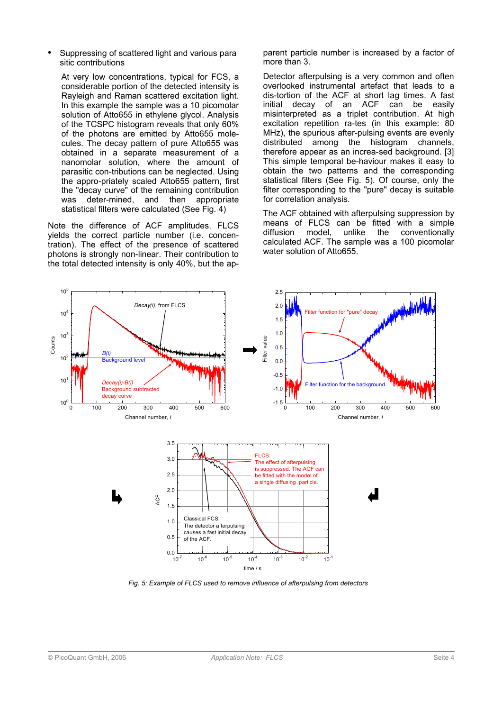Suppressing of scattered light and various para sitic contributions

At very low concentrations, typical for FCS, a considerable portion of the detected intensity is Rayleigh and Raman scattered excitation light. In this example the sample was a 10 picomolar solution of Atto655 in ethylene glycol. Analysis of the TCSPC histogram reveals that only 60% of the photons are emitted by Atto655 molecules. The decay pattern of pure Atto655 was obtained in a separate measurement of a nanomolar solution, where the amount of parasitic con-tributions can be neglected. Using the appro-priately scaled Atto655 pattern, first the "decay curve" of the remaining contribution was deter-mined, and then appropriate statistical filters were calculated (See Fig. 4)

Note the difference of ACF amplitudes. FLCS yields the correct particle number (i.e. concentration). The effect of the presence of scattered photons is strongly non-linear. Their contribution to the total detected intensity is only 40%, but the apparent particle number is increased by a factor of more than 3.

Detector afterpulsing is a very common and often overlooked instrumental artefact that leads to a dis-tortion of the ACF at short lag times. A fast initial decay of an ACF can be easily misinterpreted as a triplet contribution. At high excitation repetition ra-tes (in this example: 80 MHz), the spurious after-pulsing events are evenly distributed among the histogram channels, therefore appear as an increa-sed background. [3] This simple temporal be-haviour makes it easy to obtain the two patterns and the corresponding statistical filters (See Fig. 5). Of course, only the filter corresponding to the "pure" decay is suitable for correlation analysis.

The ACF obtained with afterpulsing suppression by means of FLCS can be fitted with a simple diffusion model, unlike the conventionally calculated ACF. The sample was a 100 picomolar water solution of Atto655.

![](_page_3_Figure_6.jpeg)

*Fig. 5: Example of FLCS used to remove influence of afterpulsing from detectors*